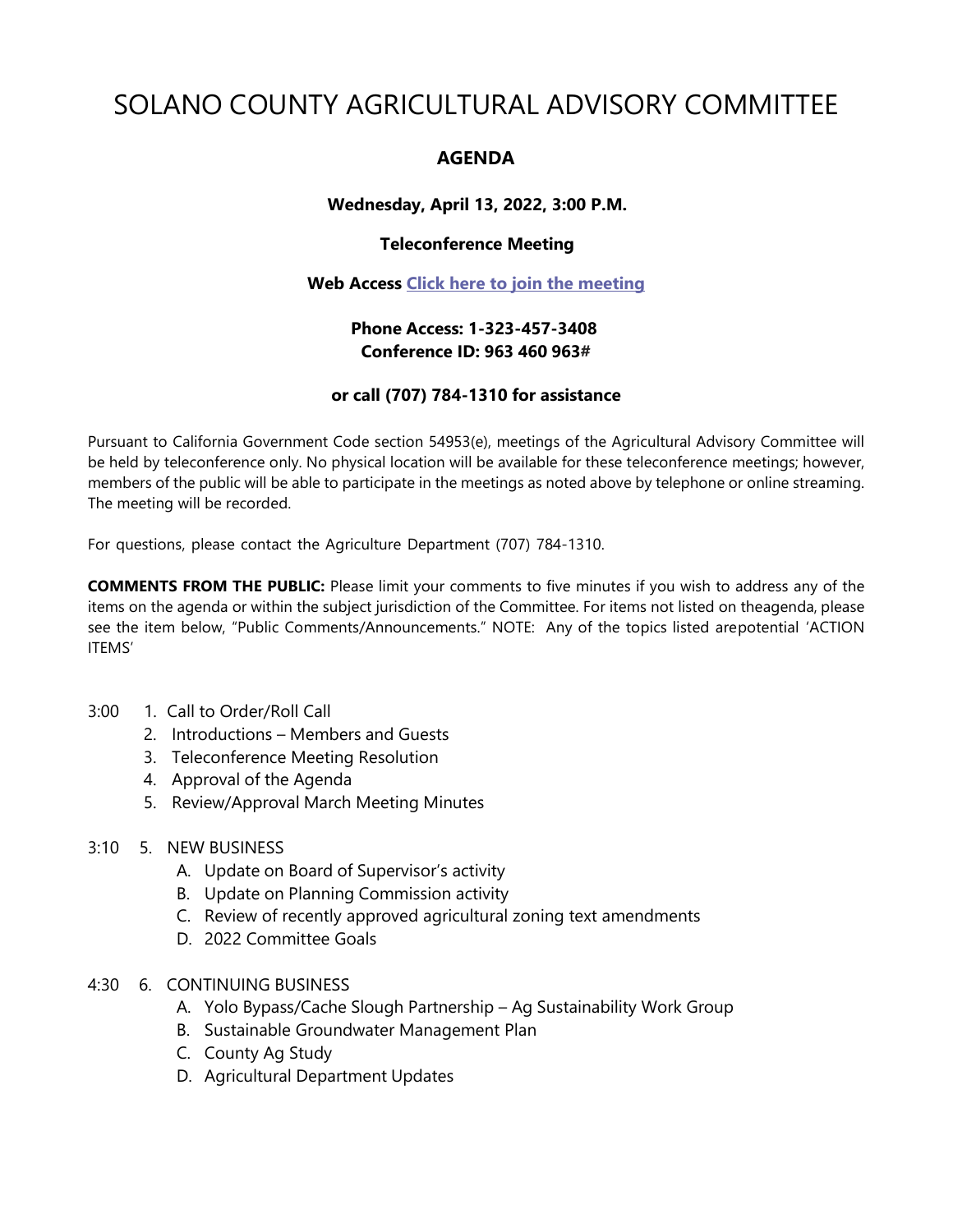# SOLANO COUNTY AGRICULTURAL ADVISORY COMMITTEE

# **AGENDA**

# **Wednesday, April 13, 2022, 3:00 P.M.**

## **Teleconference Meeting**

#### **Web Access [Click here to join the meeting](https://teams.microsoft.com/l/meetup-join/19%3ameeting_OTdmNTEwZGUtODk3Ny00YTVhLTk2YzgtNzZkMDgwNmU4ZjE0%40thread.v2/0?context=%7b%22Tid%22%3a%225e7f20ac-e5f1-4f83-8c3b-ce44b8486421%22%2c%22Oid%22%3a%229b7e0b10-9feb-4114-92ef-db737a66fd13%22%7d)**

# **Phone Access: 1-323-457-3408 Conference ID: 963 460 963#**

## **or call (707) 784-1310 for assistance**

Pursuant to California Government Code section 54953(e), meetings of the Agricultural Advisory Committee will be held by teleconference only. No physical location will be available for these teleconference meetings; however, members of the public will be able to participate in the meetings as noted above by telephone or online streaming. The meeting will be recorded.

For questions, please contact the Agriculture Department (707) 784-1310.

**COMMENTS FROM THE PUBLIC:** Please limit your comments to five minutes if you wish to address any of the items on the agenda or within the subject jurisdiction of the Committee. For items not listed on theagenda, please see the item below, "Public Comments/Announcements." NOTE: Any of the topics listed arepotential 'ACTION ITEMS'

#### 3:00 1. Call to Order/Roll Call

- 2. Introductions Members and Guests
- 3. Teleconference Meeting Resolution
- 4. Approval of the Agenda
- 5. Review/Approval March Meeting Minutes

### 3:10 5. NEW BUSINESS

- A. Update on Board of Supervisor's activity
- B. Update on Planning Commission activity
- C. Review of recently approved agricultural zoning text amendments
- D. 2022 Committee Goals
- 4:30 6. CONTINUING BUSINESS
	- A. Yolo Bypass/Cache Slough Partnership Ag Sustainability Work Group
	- B. Sustainable Groundwater Management Plan
	- C. County Ag Study
	- D. Agricultural Department Updates